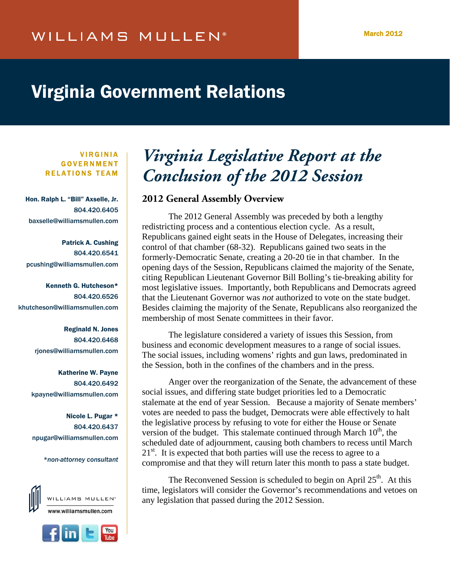# Virginia Government Relations

VIRGINIA GOVERNMENT RELATIONS TEAM

Hon. Ralph L. "Bill" Axselle, Jr. 804.420.6405 baxselle@williamsmullen.com

Patrick A. Cushing 804.420.6541 pcushing@williamsmullen.com

Kenneth G. Hutcheson\* 804.420.6526 khutcheson@williamsmullen.com

> Reginald N. Jones 804.420.6468 rjones@williamsmullen.com

Katherine W. Payne 804.420.6492 kpayne@williamsmullen.com

Nicole L. Pugar \* 804.420.6437 npugar@williamsmullen.com

*\*non-attorney consultant*





# **Virginia Legislative Report at the** *Conclusion of the 2012 Session*

# **2012 General Assembly Overview**

The 2012 General Assembly was preceded by both a lengthy redistricting process and a contentious election cycle. As a result, Republicans gained eight seats in the House of Delegates, increasing their control of that chamber (68-32). Republicans gained two seats in the formerly-Democratic Senate, creating a 20-20 tie in that chamber. In the opening days of the Session, Republicans claimed the majority of the Senate, citing Republican Lieutenant Governor Bill Bolling's tie-breaking ability for most legislative issues. Importantly, both Republicans and Democrats agreed that the Lieutenant Governor was *not* authorized to vote on the state budget. Besides claiming the majority of the Senate, Republicans also reorganized the membership of most Senate committees in their favor.

The legislature considered a variety of issues this Session, from business and economic development measures to a range of social issues. The social issues, including womens' rights and gun laws, predominated in the Session, both in the confines of the chambers and in the press.

 Anger over the reorganization of the Senate, the advancement of these social issues, and differing state budget priorities led to a Democratic stalemate at the end of year Session. Because a majority of Senate members' votes are needed to pass the budget, Democrats were able effectively to halt the legislative process by refusing to vote for either the House or Senate version of the budget. This stalemate continued through March  $10<sup>th</sup>$ , the scheduled date of adjournment, causing both chambers to recess until March  $21<sup>st</sup>$ . It is expected that both parties will use the recess to agree to a compromise and that they will return later this month to pass a state budget.

The Reconvened Session is scheduled to begin on April 25<sup>th</sup>. At this time, legislators will consider the Governor's recommendations and vetoes on any legislation that passed during the 2012 Session.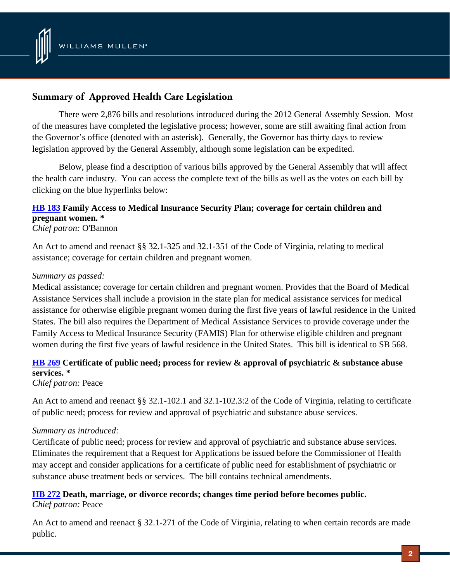

# **Summary of Approved Health Care Legislation**

There were 2,876 bills and resolutions introduced during the 2012 General Assembly Session. Most of the measures have completed the legislative process; however, some are still awaiting final action from the Governor's office (denoted with an asterisk). Generally, the Governor has thirty days to review legislation approved by the General Assembly, although some legislation can be expedited.

Below, please find a description of various bills approved by the General Assembly that will affect the health care industry. You can access the complete text of the bills as well as the votes on each bill by clicking on the blue hyperlinks below:

# **[HB 183](http://lis.virginia.gov/cgi-bin/legp604.exe?121+sum+HB183) Family Access to Medical Insurance Security Plan; coverage for certain children and pregnant women. \***

## *Chief patron:* O'Bannon

An Act to amend and reenact §§ 32.1-325 and 32.1-351 of the Code of Virginia, relating to medical assistance; coverage for certain children and pregnant women.

## *Summary as passed:*

Medical assistance; coverage for certain children and pregnant women. Provides that the Board of Medical Assistance Services shall include a provision in the state plan for medical assistance services for medical assistance for otherwise eligible pregnant women during the first five years of lawful residence in the United States. The bill also requires the Department of Medical Assistance Services to provide coverage under the Family Access to Medical Insurance Security (FAMIS) Plan for otherwise eligible children and pregnant women during the first five years of lawful residence in the United States. This bill is identical to SB 568.

# **[HB 269](http://lis.virginia.gov/cgi-bin/legp604.exe?121+sum+HB269) Certificate of public need; process for review & approval of psychiatric & substance abuse services. \***

*Chief patron:* Peace

An Act to amend and reenact §§ 32.1-102.1 and 32.1-102.3:2 of the Code of Virginia, relating to certificate of public need; process for review and approval of psychiatric and substance abuse services.

## *Summary as introduced:*

Certificate of public need; process for review and approval of psychiatric and substance abuse services. Eliminates the requirement that a Request for Applications be issued before the Commissioner of Health may accept and consider applications for a certificate of public need for establishment of psychiatric or substance abuse treatment beds or services. The bill contains technical amendments.

## **[HB 272](http://lis.virginia.gov/cgi-bin/legp604.exe?121+sum+HB272) Death, marriage, or divorce records; changes time period before becomes public.**  *Chief patron:* Peace

An Act to amend and reenact § 32.1-271 of the Code of Virginia, relating to when certain records are made public.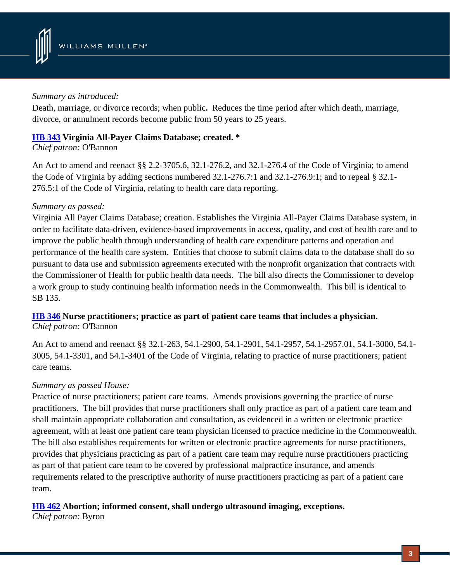

## *Summary as introduced:*

Death, marriage, or divorce records; when public**.** Reduces the time period after which death, marriage, divorce, or annulment records become public from 50 years to 25 years.

# **[HB 343](http://lis.virginia.gov/cgi-bin/legp604.exe?121+sum+HB343) Virginia All-Payer Claims Database; created. \***

*Chief patron:* O'Bannon

An Act to amend and reenact §§ 2.2-3705.6, 32.1-276.2, and 32.1-276.4 of the Code of Virginia; to amend the Code of Virginia by adding sections numbered 32.1-276.7:1 and 32.1-276.9:1; and to repeal § 32.1- 276.5:1 of the Code of Virginia, relating to health care data reporting.

# *Summary as passed:*

Virginia All Payer Claims Database; creation. Establishes the Virginia All-Payer Claims Database system, in order to facilitate data-driven, evidence-based improvements in access, quality, and cost of health care and to improve the public health through understanding of health care expenditure patterns and operation and performance of the health care system. Entities that choose to submit claims data to the database shall do so pursuant to data use and submission agreements executed with the nonprofit organization that contracts with the Commissioner of Health for public health data needs. The bill also directs the Commissioner to develop a work group to study continuing health information needs in the Commonwealth. This bill is identical to SB 135.

# **[HB 346](http://lis.virginia.gov/cgi-bin/legp604.exe?121+sum+HB346) Nurse practitioners; practice as part of patient care teams that includes a physician.**  *Chief patron:* O'Bannon

An Act to amend and reenact §§ 32.1-263, 54.1-2900, 54.1-2901, 54.1-2957, 54.1-2957.01, 54.1-3000, 54.1- 3005, 54.1-3301, and 54.1-3401 of the Code of Virginia, relating to practice of nurse practitioners; patient care teams.

# *Summary as passed House:*

Practice of nurse practitioners; patient care teams. Amends provisions governing the practice of nurse practitioners. The bill provides that nurse practitioners shall only practice as part of a patient care team and shall maintain appropriate collaboration and consultation, as evidenced in a written or electronic practice agreement, with at least one patient care team physician licensed to practice medicine in the Commonwealth. The bill also establishes requirements for written or electronic practice agreements for nurse practitioners, provides that physicians practicing as part of a patient care team may require nurse practitioners practicing as part of that patient care team to be covered by professional malpractice insurance, and amends requirements related to the prescriptive authority of nurse practitioners practicing as part of a patient care team.

# **[HB 462](http://lis.virginia.gov/cgi-bin/legp604.exe?121+sum+HB462) Abortion; informed consent, shall undergo ultrasound imaging, exceptions.**

*Chief patron:* Byron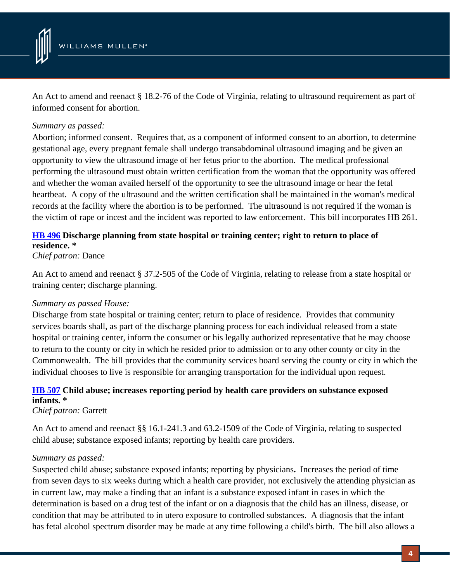

An Act to amend and reenact § 18.2-76 of the Code of Virginia, relating to ultrasound requirement as part of informed consent for abortion.

## *Summary as passed:*

Abortion; informed consent. Requires that, as a component of informed consent to an abortion, to determine gestational age, every pregnant female shall undergo transabdominal ultrasound imaging and be given an opportunity to view the ultrasound image of her fetus prior to the abortion. The medical professional performing the ultrasound must obtain written certification from the woman that the opportunity was offered and whether the woman availed herself of the opportunity to see the ultrasound image or hear the fetal heartbeat. A copy of the ultrasound and the written certification shall be maintained in the woman's medical records at the facility where the abortion is to be performed. The ultrasound is not required if the woman is the victim of rape or incest and the incident was reported to law enforcement. This bill incorporates HB 261.

# **[HB 496](http://lis.virginia.gov/cgi-bin/legp604.exe?121+sum+HB496) Discharge planning from state hospital or training center; right to return to place of residence. \***

*Chief patron:* Dance

An Act to amend and reenact § 37.2-505 of the Code of Virginia, relating to release from a state hospital or training center; discharge planning.

## *Summary as passed House:*

Discharge from state hospital or training center; return to place of residence. Provides that community services boards shall, as part of the discharge planning process for each individual released from a state hospital or training center, inform the consumer or his legally authorized representative that he may choose to return to the county or city in which he resided prior to admission or to any other county or city in the Commonwealth. The bill provides that the community services board serving the county or city in which the individual chooses to live is responsible for arranging transportation for the individual upon request.

# **[HB 507](http://lis.virginia.gov/cgi-bin/legp604.exe?121+sum+HB507) Child abuse; increases reporting period by health care providers on substance exposed infants. \***

*Chief patron:* Garrett

An Act to amend and reenact §§ 16.1-241.3 and 63.2-1509 of the Code of Virginia, relating to suspected child abuse; substance exposed infants; reporting by health care providers.

## *Summary as passed:*

Suspected child abuse; substance exposed infants; reporting by physicians**.** Increases the period of time from seven days to six weeks during which a health care provider, not exclusively the attending physician as in current law, may make a finding that an infant is a substance exposed infant in cases in which the determination is based on a drug test of the infant or on a diagnosis that the child has an illness, disease, or condition that may be attributed to in utero exposure to controlled substances. A diagnosis that the infant has fetal alcohol spectrum disorder may be made at any time following a child's birth. The bill also allows a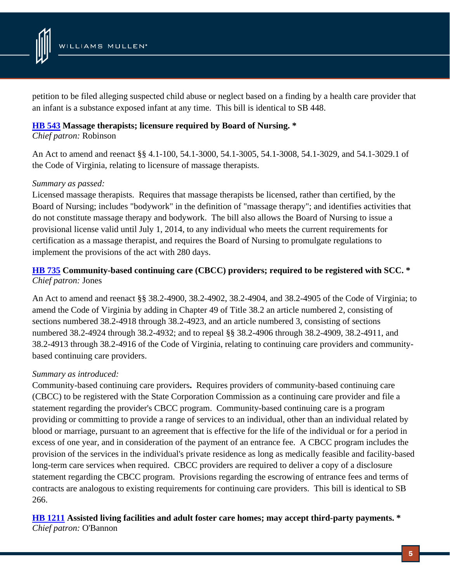

petition to be filed alleging suspected child abuse or neglect based on a finding by a health care provider that an infant is a substance exposed infant at any time. This bill is identical to SB 448.

## **[HB 543](http://lis.virginia.gov/cgi-bin/legp604.exe?121+sum+HB543) Massage therapists; licensure required by Board of Nursing. \***

*Chief patron:* Robinson

An Act to amend and reenact §§ 4.1-100, 54.1-3000, 54.1-3005, 54.1-3008, 54.1-3029, and 54.1-3029.1 of the Code of Virginia, relating to licensure of massage therapists.

# *Summary as passed:*

Licensed massage therapists. Requires that massage therapists be licensed, rather than certified, by the Board of Nursing; includes "bodywork" in the definition of "massage therapy"; and identifies activities that do not constitute massage therapy and bodywork. The bill also allows the Board of Nursing to issue a provisional license valid until July 1, 2014, to any individual who meets the current requirements for certification as a massage therapist, and requires the Board of Nursing to promulgate regulations to implement the provisions of the act with 280 days.

# **[HB 735](http://lis.virginia.gov/cgi-bin/legp604.exe?121+sum+HB735) Community-based continuing care (CBCC) providers; required to be registered with SCC. \***  *Chief patron:* Jones

An Act to amend and reenact §§ 38.2-4900, 38.2-4902, 38.2-4904, and 38.2-4905 of the Code of Virginia; to amend the Code of Virginia by adding in Chapter 49 of Title 38.2 an article numbered 2, consisting of sections numbered 38.2-4918 through 38.2-4923, and an article numbered 3, consisting of sections numbered 38.2-4924 through 38.2-4932; and to repeal §§ 38.2-4906 through 38.2-4909, 38.2-4911, and 38.2-4913 through 38.2-4916 of the Code of Virginia, relating to continuing care providers and communitybased continuing care providers.

# *Summary as introduced:*

Community-based continuing care providers**.** Requires providers of community-based continuing care (CBCC) to be registered with the State Corporation Commission as a continuing care provider and file a statement regarding the provider's CBCC program. Community-based continuing care is a program providing or committing to provide a range of services to an individual, other than an individual related by blood or marriage, pursuant to an agreement that is effective for the life of the individual or for a period in excess of one year, and in consideration of the payment of an entrance fee. A CBCC program includes the provision of the services in the individual's private residence as long as medically feasible and facility-based long-term care services when required. CBCC providers are required to deliver a copy of a disclosure statement regarding the CBCC program. Provisions regarding the escrowing of entrance fees and terms of contracts are analogous to existing requirements for continuing care providers. This bill is identical to SB 266.

**[HB 1211](http://lis.virginia.gov/cgi-bin/legp604.exe?121+sum+HB1211) Assisted living facilities and adult foster care homes; may accept third-party payments. \***  *Chief patron:* O'Bannon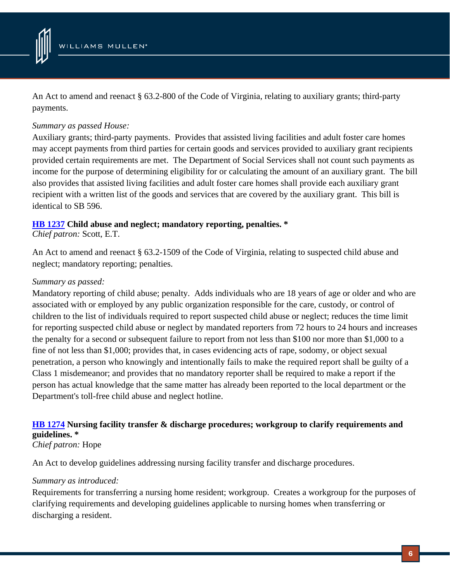

An Act to amend and reenact § 63.2-800 of the Code of Virginia, relating to auxiliary grants; third-party payments.

## *Summary as passed House:*

Auxiliary grants; third-party payments. Provides that assisted living facilities and adult foster care homes may accept payments from third parties for certain goods and services provided to auxiliary grant recipients provided certain requirements are met. The Department of Social Services shall not count such payments as income for the purpose of determining eligibility for or calculating the amount of an auxiliary grant. The bill also provides that assisted living facilities and adult foster care homes shall provide each auxiliary grant recipient with a written list of the goods and services that are covered by the auxiliary grant. This bill is identical to SB 596.

## **[HB 1237](http://lis.virginia.gov/cgi-bin/legp604.exe?121+sum+HB1237) Child abuse and neglect; mandatory reporting, penalties. \***

*Chief patron:* Scott, E.T.

An Act to amend and reenact § 63.2-1509 of the Code of Virginia, relating to suspected child abuse and neglect; mandatory reporting; penalties.

## *Summary as passed:*

Mandatory reporting of child abuse; penalty. Adds individuals who are 18 years of age or older and who are associated with or employed by any public organization responsible for the care, custody, or control of children to the list of individuals required to report suspected child abuse or neglect; reduces the time limit for reporting suspected child abuse or neglect by mandated reporters from 72 hours to 24 hours and increases the penalty for a second or subsequent failure to report from not less than \$100 nor more than \$1,000 to a fine of not less than \$1,000; provides that, in cases evidencing acts of rape, sodomy, or object sexual penetration, a person who knowingly and intentionally fails to make the required report shall be guilty of a Class 1 misdemeanor; and provides that no mandatory reporter shall be required to make a report if the person has actual knowledge that the same matter has already been reported to the local department or the Department's toll-free child abuse and neglect hotline.

# **[HB 1274](http://lis.virginia.gov/cgi-bin/legp604.exe?121+sum+HB1274) Nursing facility transfer & discharge procedures; workgroup to clarify requirements and guidelines. \***

# *Chief patron:* Hope

An Act to develop guidelines addressing nursing facility transfer and discharge procedures.

## *Summary as introduced:*

Requirements for transferring a nursing home resident; workgroup. Creates a workgroup for the purposes of clarifying requirements and developing guidelines applicable to nursing homes when transferring or discharging a resident.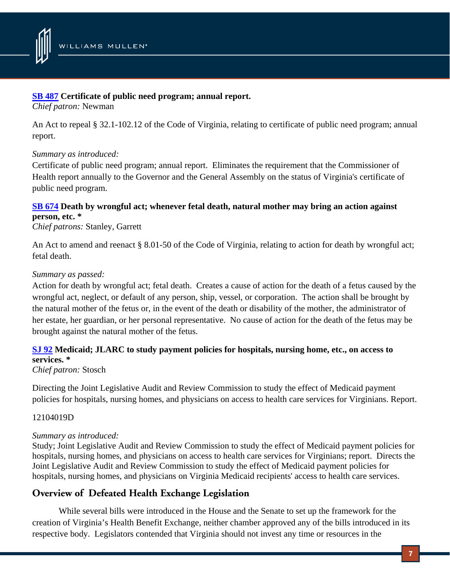

## **[SB 487](http://lis.virginia.gov/cgi-bin/legp604.exe?121+sum+SB487) Certificate of public need program; annual report.**

*Chief patron:* Newman

An Act to repeal § 32.1-102.12 of the Code of Virginia, relating to certificate of public need program; annual report.

## *Summary as introduced:*

Certificate of public need program; annual report. Eliminates the requirement that the Commissioner of Health report annually to the Governor and the General Assembly on the status of Virginia's certificate of public need program.

# **[SB 674](http://lis.virginia.gov/cgi-bin/legp604.exe?121+sum+SB674) Death by wrongful act; whenever fetal death, natural mother may bring an action against person, etc. \***

*Chief patrons:* Stanley, Garrett

An Act to amend and reenact § 8.01-50 of the Code of Virginia, relating to action for death by wrongful act; fetal death.

## *Summary as passed:*

Action for death by wrongful act; fetal death. Creates a cause of action for the death of a fetus caused by the wrongful act, neglect, or default of any person, ship, vessel, or corporation. The action shall be brought by the natural mother of the fetus or, in the event of the death or disability of the mother, the administrator of her estate, her guardian, or her personal representative. No cause of action for the death of the fetus may be brought against the natural mother of the fetus.

# **[SJ 92](http://lis.virginia.gov/cgi-bin/legp604.exe?121+sum+SJ92) Medicaid; JLARC to study payment policies for hospitals, nursing home, etc., on access to services. \***

# *Chief patron:* Stosch

Directing the Joint Legislative Audit and Review Commission to study the effect of Medicaid payment policies for hospitals, nursing homes, and physicians on access to health care services for Virginians. Report.

## 12104019D

## *Summary as introduced:*

Study; Joint Legislative Audit and Review Commission to study the effect of Medicaid payment policies for hospitals, nursing homes, and physicians on access to health care services for Virginians; report. Directs the Joint Legislative Audit and Review Commission to study the effect of Medicaid payment policies for hospitals, nursing homes, and physicians on Virginia Medicaid recipients' access to health care services.

# **Overview of Defeated Health Exchange Legislation**

 While several bills were introduced in the House and the Senate to set up the framework for the creation of Virginia's Health Benefit Exchange, neither chamber approved any of the bills introduced in its respective body. Legislators contended that Virginia should not invest any time or resources in the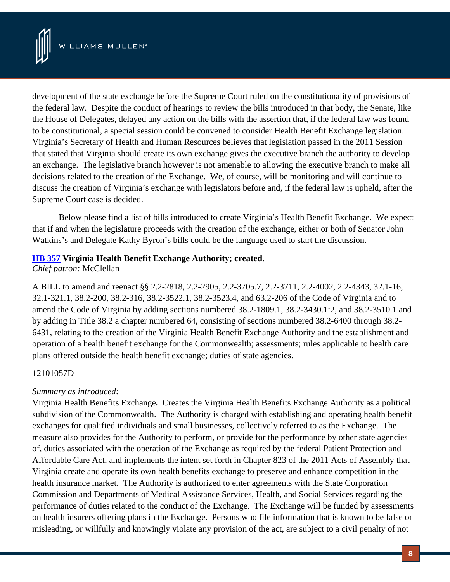

development of the state exchange before the Supreme Court ruled on the constitutionality of provisions of the federal law. Despite the conduct of hearings to review the bills introduced in that body, the Senate, like the House of Delegates, delayed any action on the bills with the assertion that, if the federal law was found to be constitutional, a special session could be convened to consider Health Benefit Exchange legislation. Virginia's Secretary of Health and Human Resources believes that legislation passed in the 2011 Session that stated that Virginia should create its own exchange gives the executive branch the authority to develop an exchange. The legislative branch however is not amenable to allowing the executive branch to make all decisions related to the creation of the Exchange. We, of course, will be monitoring and will continue to discuss the creation of Virginia's exchange with legislators before and, if the federal law is upheld, after the Supreme Court case is decided.

 Below please find a list of bills introduced to create Virginia's Health Benefit Exchange. We expect that if and when the legislature proceeds with the creation of the exchange, either or both of Senator John Watkins's and Delegate Kathy Byron's bills could be the language used to start the discussion.

## **[HB 357](http://lis.virginia.gov/cgi-bin/legp604.exe?121+sum+HB357) Virginia Health Benefit Exchange Authority; created.**

*Chief patron:* McClellan

A BILL to amend and reenact §§ 2.2-2818, 2.2-2905, 2.2-3705.7, 2.2-3711, 2.2-4002, 2.2-4343, 32.1-16, 32.1-321.1, 38.2-200, 38.2-316, 38.2-3522.1, 38.2-3523.4, and 63.2-206 of the Code of Virginia and to amend the Code of Virginia by adding sections numbered 38.2-1809.1, 38.2-3430.1:2, and 38.2-3510.1 and by adding in Title 38.2 a chapter numbered 64, consisting of sections numbered 38.2-6400 through 38.2- 6431, relating to the creation of the Virginia Health Benefit Exchange Authority and the establishment and operation of a health benefit exchange for the Commonwealth; assessments; rules applicable to health care plans offered outside the health benefit exchange; duties of state agencies.

# 12101057D

# *Summary as introduced:*

Virginia Health Benefits Exchange**.** Creates the Virginia Health Benefits Exchange Authority as a political subdivision of the Commonwealth. The Authority is charged with establishing and operating health benefit exchanges for qualified individuals and small businesses, collectively referred to as the Exchange. The measure also provides for the Authority to perform, or provide for the performance by other state agencies of, duties associated with the operation of the Exchange as required by the federal Patient Protection and Affordable Care Act, and implements the intent set forth in Chapter 823 of the 2011 Acts of Assembly that Virginia create and operate its own health benefits exchange to preserve and enhance competition in the health insurance market. The Authority is authorized to enter agreements with the State Corporation Commission and Departments of Medical Assistance Services, Health, and Social Services regarding the performance of duties related to the conduct of the Exchange. The Exchange will be funded by assessments on health insurers offering plans in the Exchange. Persons who file information that is known to be false or misleading, or willfully and knowingly violate any provision of the act, are subject to a civil penalty of not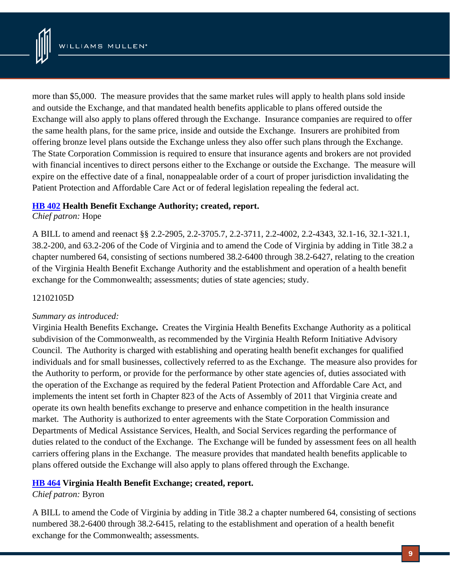

more than \$5,000. The measure provides that the same market rules will apply to health plans sold inside and outside the Exchange, and that mandated health benefits applicable to plans offered outside the Exchange will also apply to plans offered through the Exchange. Insurance companies are required to offer the same health plans, for the same price, inside and outside the Exchange. Insurers are prohibited from offering bronze level plans outside the Exchange unless they also offer such plans through the Exchange. The State Corporation Commission is required to ensure that insurance agents and brokers are not provided with financial incentives to direct persons either to the Exchange or outside the Exchange. The measure will expire on the effective date of a final, nonappealable order of a court of proper jurisdiction invalidating the Patient Protection and Affordable Care Act or of federal legislation repealing the federal act.

## **[HB 402](http://lis.virginia.gov/cgi-bin/legp604.exe?121+sum+HB402) Health Benefit Exchange Authority; created, report.**

## *Chief patron:* Hope

A BILL to amend and reenact §§ 2.2-2905, 2.2-3705.7, 2.2-3711, 2.2-4002, 2.2-4343, 32.1-16, 32.1-321.1, 38.2-200, and 63.2-206 of the Code of Virginia and to amend the Code of Virginia by adding in Title 38.2 a chapter numbered 64, consisting of sections numbered 38.2-6400 through 38.2-6427, relating to the creation of the Virginia Health Benefit Exchange Authority and the establishment and operation of a health benefit exchange for the Commonwealth; assessments; duties of state agencies; study.

## 12102105D

## *Summary as introduced:*

Virginia Health Benefits Exchange**.** Creates the Virginia Health Benefits Exchange Authority as a political subdivision of the Commonwealth, as recommended by the Virginia Health Reform Initiative Advisory Council. The Authority is charged with establishing and operating health benefit exchanges for qualified individuals and for small businesses, collectively referred to as the Exchange. The measure also provides for the Authority to perform, or provide for the performance by other state agencies of, duties associated with the operation of the Exchange as required by the federal Patient Protection and Affordable Care Act, and implements the intent set forth in Chapter 823 of the Acts of Assembly of 2011 that Virginia create and operate its own health benefits exchange to preserve and enhance competition in the health insurance market. The Authority is authorized to enter agreements with the State Corporation Commission and Departments of Medical Assistance Services, Health, and Social Services regarding the performance of duties related to the conduct of the Exchange. The Exchange will be funded by assessment fees on all health carriers offering plans in the Exchange. The measure provides that mandated health benefits applicable to plans offered outside the Exchange will also apply to plans offered through the Exchange.

## **[HB 464](http://lis.virginia.gov/cgi-bin/legp604.exe?121+sum+HB464) Virginia Health Benefit Exchange; created, report.**

## *Chief patron:* Byron

A BILL to amend the Code of Virginia by adding in Title 38.2 a chapter numbered 64, consisting of sections numbered 38.2-6400 through 38.2-6415, relating to the establishment and operation of a health benefit exchange for the Commonwealth; assessments.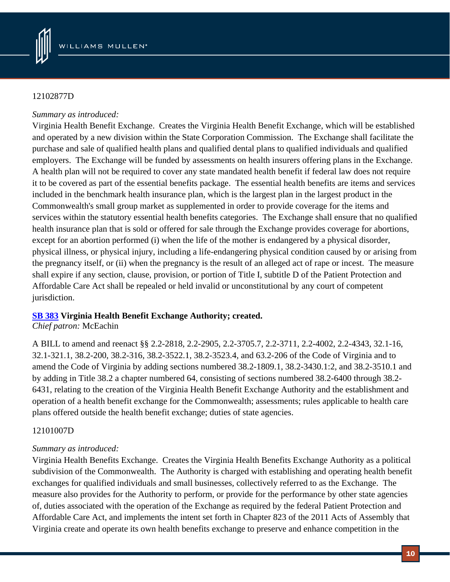

## 12102877D

## *Summary as introduced:*

Virginia Health Benefit Exchange. Creates the Virginia Health Benefit Exchange, which will be established and operated by a new division within the State Corporation Commission. The Exchange shall facilitate the purchase and sale of qualified health plans and qualified dental plans to qualified individuals and qualified employers. The Exchange will be funded by assessments on health insurers offering plans in the Exchange. A health plan will not be required to cover any state mandated health benefit if federal law does not require it to be covered as part of the essential benefits package. The essential health benefits are items and services included in the benchmark health insurance plan, which is the largest plan in the largest product in the Commonwealth's small group market as supplemented in order to provide coverage for the items and services within the statutory essential health benefits categories. The Exchange shall ensure that no qualified health insurance plan that is sold or offered for sale through the Exchange provides coverage for abortions, except for an abortion performed (i) when the life of the mother is endangered by a physical disorder, physical illness, or physical injury, including a life-endangering physical condition caused by or arising from the pregnancy itself, or (ii) when the pregnancy is the result of an alleged act of rape or incest. The measure shall expire if any section, clause, provision, or portion of Title I, subtitle D of the Patient Protection and Affordable Care Act shall be repealed or held invalid or unconstitutional by any court of competent jurisdiction.

# **[SB 383](http://lis.virginia.gov/cgi-bin/legp604.exe?121+sum+SB383) Virginia Health Benefit Exchange Authority; created.**

*Chief patron:* McEachin

A BILL to amend and reenact §§ 2.2-2818, 2.2-2905, 2.2-3705.7, 2.2-3711, 2.2-4002, 2.2-4343, 32.1-16, 32.1-321.1, 38.2-200, 38.2-316, 38.2-3522.1, 38.2-3523.4, and 63.2-206 of the Code of Virginia and to amend the Code of Virginia by adding sections numbered 38.2-1809.1, 38.2-3430.1:2, and 38.2-3510.1 and by adding in Title 38.2 a chapter numbered 64, consisting of sections numbered 38.2-6400 through 38.2- 6431, relating to the creation of the Virginia Health Benefit Exchange Authority and the establishment and operation of a health benefit exchange for the Commonwealth; assessments; rules applicable to health care plans offered outside the health benefit exchange; duties of state agencies.

# 12101007D

# *Summary as introduced:*

Virginia Health Benefits Exchange. Creates the Virginia Health Benefits Exchange Authority as a political subdivision of the Commonwealth. The Authority is charged with establishing and operating health benefit exchanges for qualified individuals and small businesses, collectively referred to as the Exchange. The measure also provides for the Authority to perform, or provide for the performance by other state agencies of, duties associated with the operation of the Exchange as required by the federal Patient Protection and Affordable Care Act, and implements the intent set forth in Chapter 823 of the 2011 Acts of Assembly that Virginia create and operate its own health benefits exchange to preserve and enhance competition in the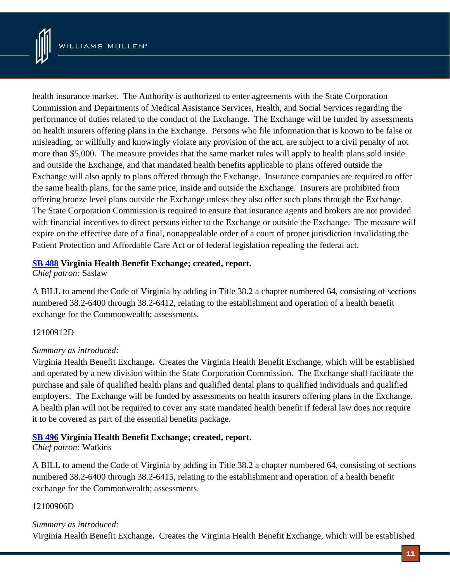

health insurance market. The Authority is authorized to enter agreements with the State Corporation Commission and Departments of Medical Assistance Services, Health, and Social Services regarding the performance of duties related to the conduct of the Exchange. The Exchange will be funded by assessments on health insurers offering plans in the Exchange. Persons who file information that is known to be false or misleading, or willfully and knowingly violate any provision of the act, are subject to a civil penalty of not more than \$5,000. The measure provides that the same market rules will apply to health plans sold inside and outside the Exchange, and that mandated health benefits applicable to plans offered outside the Exchange will also apply to plans offered through the Exchange. Insurance companies are required to offer the same health plans, for the same price, inside and outside the Exchange. Insurers are prohibited from offering bronze level plans outside the Exchange unless they also offer such plans through the Exchange. The State Corporation Commission is required to ensure that insurance agents and brokers are not provided with financial incentives to direct persons either to the Exchange or outside the Exchange. The measure will expire on the effective date of a final, nonappealable order of a court of proper jurisdiction invalidating the Patient Protection and Affordable Care Act or of federal legislation repealing the federal act.

#### **[SB 488](http://lis.virginia.gov/cgi-bin/legp604.exe?121+sum+SB488) Virginia Health Benefit Exchange; created, report.**

*Chief patron:* Saslaw

A BILL to amend the Code of Virginia by adding in Title 38.2 a chapter numbered 64, consisting of sections numbered 38.2-6400 through 38.2-6412, relating to the establishment and operation of a health benefit exchange for the Commonwealth; assessments.

## 12100912D

## *Summary as introduced:*

Virginia Health Benefit Exchange**.** Creates the Virginia Health Benefit Exchange, which will be established and operated by a new division within the State Corporation Commission. The Exchange shall facilitate the purchase and sale of qualified health plans and qualified dental plans to qualified individuals and qualified employers. The Exchange will be funded by assessments on health insurers offering plans in the Exchange. A health plan will not be required to cover any state mandated health benefit if federal law does not require it to be covered as part of the essential benefits package.

## **[SB 496](http://lis.virginia.gov/cgi-bin/legp604.exe?121+sum+SB496) Virginia Health Benefit Exchange; created, report.**

#### *Chief patron:* Watkins

A BILL to amend the Code of Virginia by adding in Title 38.2 a chapter numbered 64, consisting of sections numbered 38.2-6400 through 38.2-6415, relating to the establishment and operation of a health benefit exchange for the Commonwealth; assessments.

#### 12100906D

#### *Summary as introduced:*

Virginia Health Benefit Exchange**.** Creates the Virginia Health Benefit Exchange, which will be established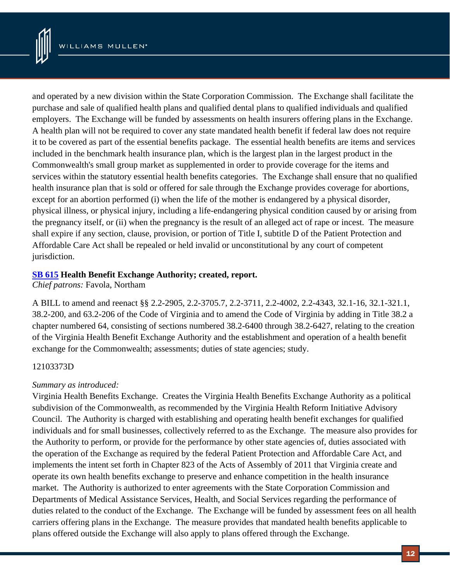

and operated by a new division within the State Corporation Commission. The Exchange shall facilitate the purchase and sale of qualified health plans and qualified dental plans to qualified individuals and qualified employers. The Exchange will be funded by assessments on health insurers offering plans in the Exchange. A health plan will not be required to cover any state mandated health benefit if federal law does not require it to be covered as part of the essential benefits package. The essential health benefits are items and services included in the benchmark health insurance plan, which is the largest plan in the largest product in the Commonwealth's small group market as supplemented in order to provide coverage for the items and services within the statutory essential health benefits categories. The Exchange shall ensure that no qualified health insurance plan that is sold or offered for sale through the Exchange provides coverage for abortions, except for an abortion performed (i) when the life of the mother is endangered by a physical disorder, physical illness, or physical injury, including a life-endangering physical condition caused by or arising from the pregnancy itself, or (ii) when the pregnancy is the result of an alleged act of rape or incest. The measure shall expire if any section, clause, provision, or portion of Title I, subtitle D of the Patient Protection and Affordable Care Act shall be repealed or held invalid or unconstitutional by any court of competent jurisdiction.

# **[SB 615](http://lis.virginia.gov/cgi-bin/legp604.exe?121+sum+SB615) Health Benefit Exchange Authority; created, report.**

*Chief patrons:* Favola, Northam

A BILL to amend and reenact §§ 2.2-2905, 2.2-3705.7, 2.2-3711, 2.2-4002, 2.2-4343, 32.1-16, 32.1-321.1, 38.2-200, and 63.2-206 of the Code of Virginia and to amend the Code of Virginia by adding in Title 38.2 a chapter numbered 64, consisting of sections numbered 38.2-6400 through 38.2-6427, relating to the creation of the Virginia Health Benefit Exchange Authority and the establishment and operation of a health benefit exchange for the Commonwealth; assessments; duties of state agencies; study.

# 12103373D

# *Summary as introduced:*

Virginia Health Benefits Exchange. Creates the Virginia Health Benefits Exchange Authority as a political subdivision of the Commonwealth, as recommended by the Virginia Health Reform Initiative Advisory Council. The Authority is charged with establishing and operating health benefit exchanges for qualified individuals and for small businesses, collectively referred to as the Exchange. The measure also provides for the Authority to perform, or provide for the performance by other state agencies of, duties associated with the operation of the Exchange as required by the federal Patient Protection and Affordable Care Act, and implements the intent set forth in Chapter 823 of the Acts of Assembly of 2011 that Virginia create and operate its own health benefits exchange to preserve and enhance competition in the health insurance market. The Authority is authorized to enter agreements with the State Corporation Commission and Departments of Medical Assistance Services, Health, and Social Services regarding the performance of duties related to the conduct of the Exchange. The Exchange will be funded by assessment fees on all health carriers offering plans in the Exchange. The measure provides that mandated health benefits applicable to plans offered outside the Exchange will also apply to plans offered through the Exchange.